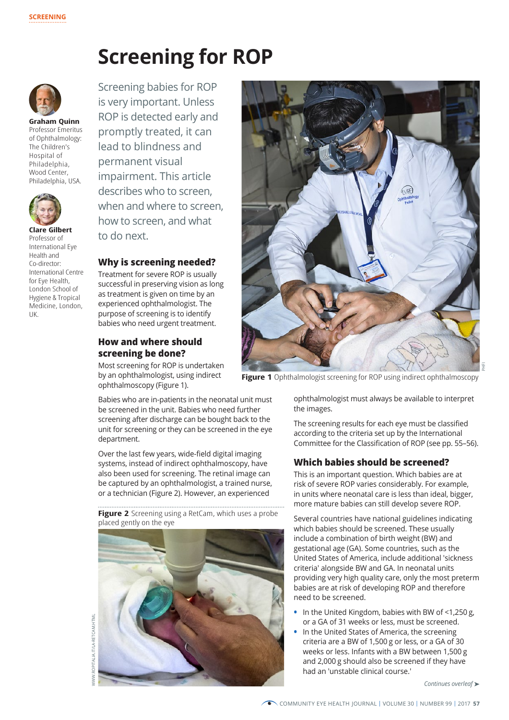# **Screening for ROP**



**Graham Quinn**  Professor Emeritus of Ophthalmology: The Children's Hospital of Philadelphia, Wood Center, Philadelphia, USA.



**Clare Gilbert** Professor of International Eye Health and Co-director: International Centre for Eye Health, London School of Hygiene & Tropical Medicine, London, UK.

Screening babies for ROP is very important. Unless ROP is detected early and promptly treated, it can lead to blindness and permanent visual impairment. This article describes who to screen, when and where to screen, how to screen, and what to do next.

# **Why is screening needed?**

Treatment for severe ROP is usually successful in preserving vision as long as treatment is given on time by an experienced ophthalmologist. The purpose of screening is to identify babies who need urgent treatment.

## **How and where should screening be done?**

Most screening for ROP is undertaken by an ophthalmologist, using indirect ophthalmoscopy (Figure 1).

Babies who are in-patients in the neonatal unit must be screened in the unit. Babies who need further screening after discharge can be bought back to the unit for screening or they can be screened in the eye department.

Over the last few years, wide-field digital imaging systems, instead of indirect ophthalmoscopy, have also been used for screening. The retinal image can be captured by an ophthalmologist, a trained nurse, or a technician (Figure 2). However, an experienced

**Figure 2** Screening using a RetCam, which uses a probe placed gently on the eye







**Figure 1** Ophthalmologist screening for ROP using indirect ophthalmoscopy

ophthalmologist must always be available to interpret the images.

The screening results for each eye must be classified according to the criteria set up by the International Committee for the Classification of ROP (see pp. 55–56).

## **Which babies should be screened?**

This is an important question. Which babies are at risk of severe ROP varies considerably. For example, in units where neonatal care is less than ideal, bigger, more mature babies can still develop severe ROP.

Several countries have national guidelines indicating which babies should be screened. These usually include a combination of birth weight (BW) and gestational age (GA). Some countries, such as the United States of America, include additional 'sickness criteria' alongside BW and GA. In neonatal units providing very high quality care, only the most preterm babies are at risk of developing ROP and therefore need to be screened.

- **•** In the United Kingdom, babies with BW of <1,250 g, or a GA of 31 weeks or less, must be screened.
- **•** In the United States of America, the screening criteria are a BW of 1,500 g or less, or a GA of 30 weeks or less. Infants with a BW between 1,500 g and 2,000 g should also be screened if they have had an 'unstable clinical course.'

*Continues overleaf* ➤